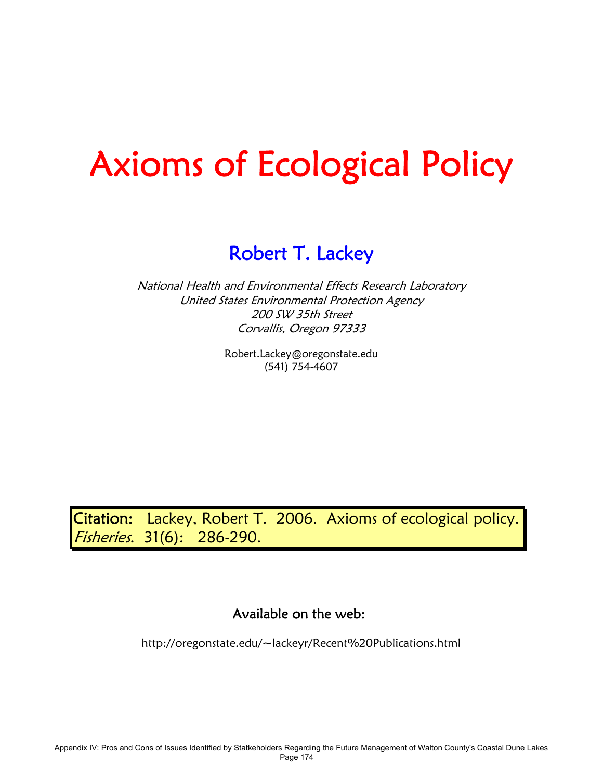# Axioms of Ecological Policy

# Robert T. Lackey

National Health and Environmental Effects Research Laboratory United States Environmental Protection Agency 200 SW 35th Street Corvallis, Oregon 97333

> Robert.Lackey@oregonstate.edu (541) 754-4607

Citation: Lackey, Robert T. 2006. Axioms of ecological policy. Fisheries. 31(6): 286-290.

Available on the web:

http://oregonstate.edu/~lackeyr/Recent%20Publications.html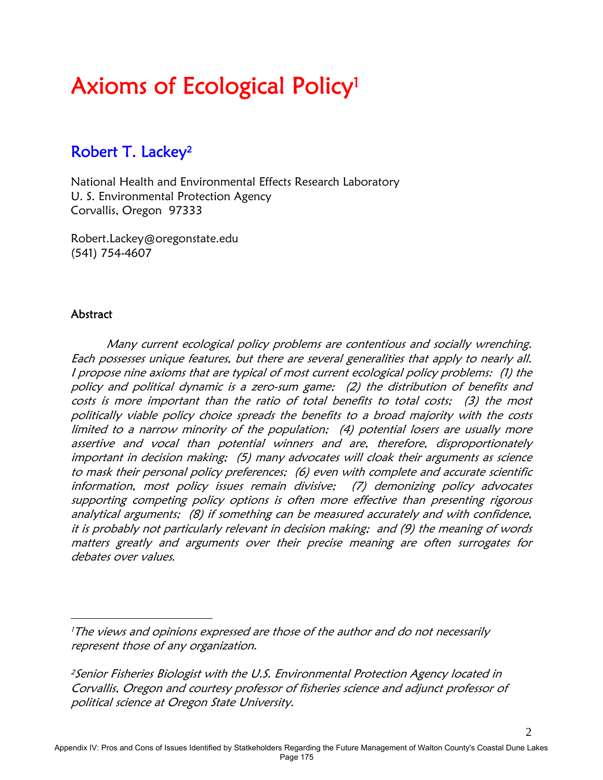# Axioms of Ecological Policy1

## Robert T. Lackey2

National Health and Environmental Effects Research Laboratory U. S. Environmental Protection Agency Corvallis, Oregon 97333

Robert.Lackey@oregonstate.edu (541) 754-4607

#### Abstract

 $\overline{a}$ 

Many current ecological policy problems are contentious and socially wrenching. Each possesses unique features, but there are several generalities that apply to nearly all. I propose nine axioms that are typical of most current ecological policy problems: (1) the policy and political dynamic is a zero-sum game; (2) the distribution of benefits and costs is more important than the ratio of total benefits to total costs; (3) the most politically viable policy choice spreads the benefits to a broad majority with the costs limited to a narrow minority of the population; (4) potential losers are usually more assertive and vocal than potential winners and are, therefore, disproportionately important in decision making; (5) many advocates will cloak their arguments as science to mask their personal policy preferences; (6) even with complete and accurate scientific information, most policy issues remain divisive; (7) demonizing policy advocates supporting competing policy options is often more effective than presenting rigorous analytical arguments; (8) if something can be measured accurately and with confidence, it is probably not particularly relevant in decision making; and (9) the meaning of words matters greatly and arguments over their precise meaning are often surrogates for debates over values.

<sup>2</sup> Senior Fisheries Biologist with the U.S. Environmental Protection Agency located in Corvallis, Oregon and courtesy professor of fisheries science and adjunct professor of political science at Oregon State University.

Appendix IV: Pros and Cons of Issues Identified by Statkeholders Regarding the Future Management of Walton County's Coastal Dune Lakes Page 175

<sup>&</sup>lt;sup>1</sup>The views and opinions expressed are those of the author and do not necessarily represent those of any organization.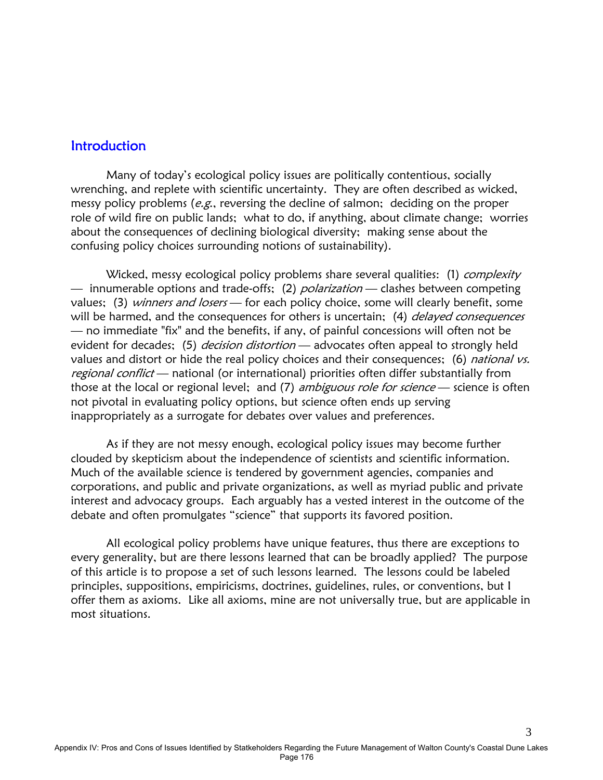#### **Introduction**

 Many of today's ecological policy issues are politically contentious, socially wrenching, and replete with scientific uncertainty. They are often described as wicked, messy policy problems (e.g., reversing the decline of salmon; deciding on the proper role of wild fire on public lands; what to do, if anything, about climate change; worries about the consequences of declining biological diversity; making sense about the confusing policy choices surrounding notions of sustainability).

Wicked, messy ecological policy problems share several qualities: (1) *complexity* — innumerable options and trade-offs; (2) *polarization* — clashes between competing values; (3) winners and losers - for each policy choice, some will clearly benefit, some will be harmed, and the consequences for others is uncertain; (4) *delayed consequences* — no immediate "fix" and the benefits, if any, of painful concessions will often not be evident for decades; (5) *decision distortion* — advocates often appeal to strongly held values and distort or hide the real policy choices and their consequences; (6) national vs. regional conflict — national (or international) priorities often differ substantially from those at the local or regional level; and (7) *ambiguous role for science* — science is often not pivotal in evaluating policy options, but science often ends up serving inappropriately as a surrogate for debates over values and preferences.

 As if they are not messy enough, ecological policy issues may become further clouded by skepticism about the independence of scientists and scientific information. Much of the available science is tendered by government agencies, companies and corporations, and public and private organizations, as well as myriad public and private interest and advocacy groups. Each arguably has a vested interest in the outcome of the debate and often promulgates "science" that supports its favored position.

 All ecological policy problems have unique features, thus there are exceptions to every generality, but are there lessons learned that can be broadly applied? The purpose of this article is to propose a set of such lessons learned. The lessons could be labeled principles, suppositions, empiricisms, doctrines, guidelines, rules, or conventions, but I offer them as axioms. Like all axioms, mine are not universally true, but are applicable in most situations.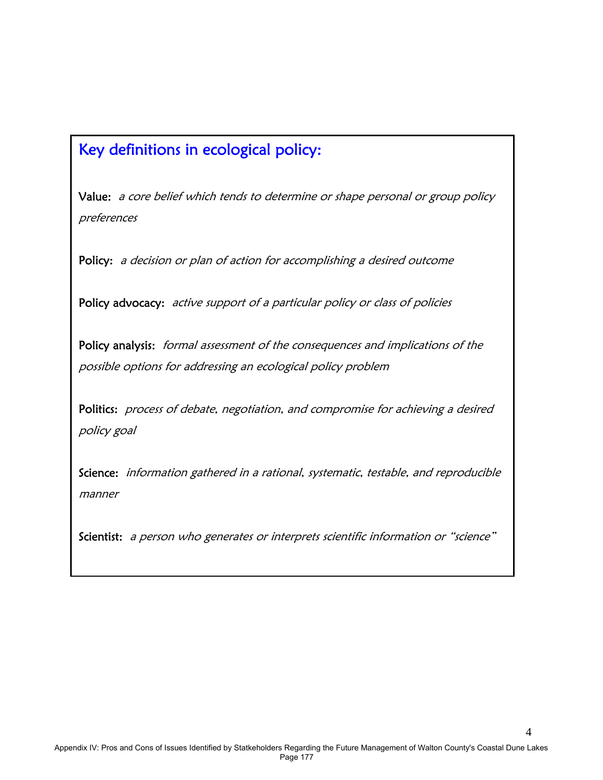## Key definitions in ecological policy:

 $\overline{\phantom{a}}$ 

 $\overline{\phantom{a}}$ 

Value: a core belief which tends to determine or shape personal or group policy preferences

Policy: a decision or plan of action for accomplishing a desired outcome

Policy advocacy: active support of a particular policy or class of policies

Policy analysis: formal assessment of the consequences and implications of the possible options for addressing an ecological policy problem

Politics: process of debate, negotiation, and compromise for achieving a desired policy goal

Science: information gathered in a rational, systematic, testable, and reproducible manner

Scientist: a person who generates or interprets scientific information or "science"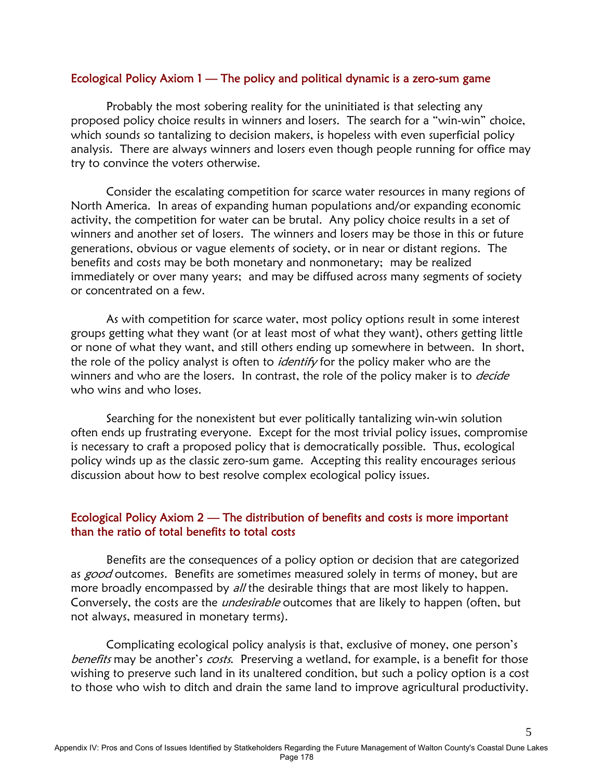#### Ecological Policy Axiom 1 — The policy and political dynamic is a zero-sum game

 Probably the most sobering reality for the uninitiated is that selecting any proposed policy choice results in winners and losers. The search for a "win-win" choice, which sounds so tantalizing to decision makers, is hopeless with even superficial policy analysis. There are always winners and losers even though people running for office may try to convince the voters otherwise.

 Consider the escalating competition for scarce water resources in many regions of North America. In areas of expanding human populations and/or expanding economic activity, the competition for water can be brutal. Any policy choice results in a set of winners and another set of losers. The winners and losers may be those in this or future generations, obvious or vague elements of society, or in near or distant regions. The benefits and costs may be both monetary and nonmonetary; may be realized immediately or over many years; and may be diffused across many segments of society or concentrated on a few.

 As with competition for scarce water, most policy options result in some interest groups getting what they want (or at least most of what they want), others getting little or none of what they want, and still others ending up somewhere in between. In short, the role of the policy analyst is often to *identify* for the policy maker who are the winners and who are the losers. In contrast, the role of the policy maker is to *decide* who wins and who loses.

 Searching for the nonexistent but ever politically tantalizing win-win solution often ends up frustrating everyone. Except for the most trivial policy issues, compromise is necessary to craft a proposed policy that is democratically possible. Thus, ecological policy winds up as the classic zero-sum game. Accepting this reality encourages serious discussion about how to best resolve complex ecological policy issues.

#### Ecological Policy Axiom 2 — The distribution of benefits and costs is more important than the ratio of total benefits to total costs

 Benefits are the consequences of a policy option or decision that are categorized as good outcomes. Benefits are sometimes measured solely in terms of money, but are more broadly encompassed by all the desirable things that are most likely to happen. Conversely, the costs are the *undesirable* outcomes that are likely to happen (often, but not always, measured in monetary terms).

 Complicating ecological policy analysis is that, exclusive of money, one person's benefits may be another's costs. Preserving a wetland, for example, is a benefit for those wishing to preserve such land in its unaltered condition, but such a policy option is a cost to those who wish to ditch and drain the same land to improve agricultural productivity.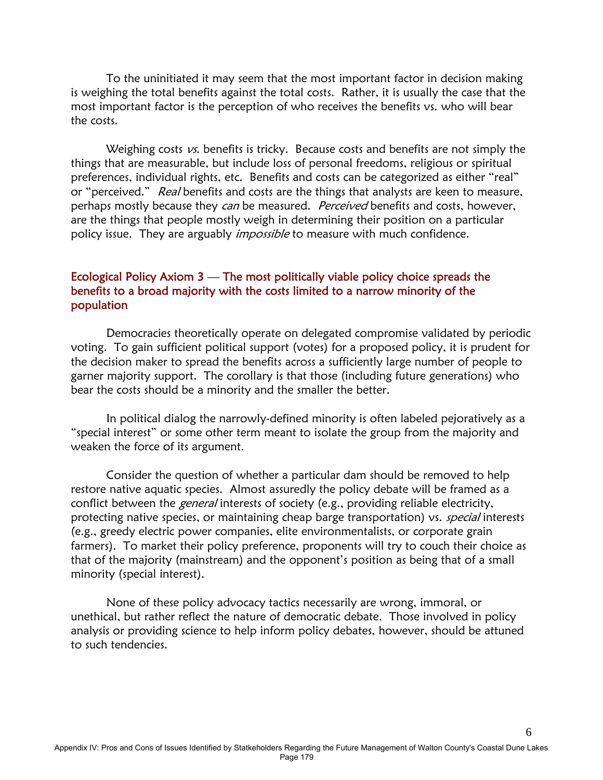To the uninitiated it may seem that the most important factor in decision making is weighing the total benefits against the total costs. Rather, it is usually the case that the most important factor is the perception of who receives the benefits vs. who will bear the costs.

Weighing costs  $\nu s$ . benefits is tricky. Because costs and benefits are not simply the things that are measurable, but include loss of personal freedoms, religious or spiritual preferences, individual rights, etc. Benefits and costs can be categorized as either "real" or "perceived." Real benefits and costs are the things that analysts are keen to measure, perhaps mostly because they can be measured. Perceived benefits and costs, however, are the things that people mostly weigh in determining their position on a particular policy issue. They are arguably *impossible* to measure with much confidence.

#### Ecological Policy Axiom 3 — The most politically viable policy choice spreads the benefits to a broad majority with the costs limited to a narrow minority of the population

 Democracies theoretically operate on delegated compromise validated by periodic voting. To gain sufficient political support (votes) for a proposed policy, it is prudent for the decision maker to spread the benefits across a sufficiently large number of people to garner majority support. The corollary is that those (including future generations) who bear the costs should be a minority and the smaller the better.

 In political dialog the narrowly-defined minority is often labeled pejoratively as a "special interest" or some other term meant to isolate the group from the majority and weaken the force of its argument.

 Consider the question of whether a particular dam should be removed to help restore native aquatic species. Almost assuredly the policy debate will be framed as a conflict between the *general* interests of society (e.g., providing reliable electricity, protecting native species, or maintaining cheap barge transportation) vs. special interests (e.g., greedy electric power companies, elite environmentalists, or corporate grain farmers). To market their policy preference, proponents will try to couch their choice as that of the majority (mainstream) and the opponent's position as being that of a small minority (special interest).

 None of these policy advocacy tactics necessarily are wrong, immoral, or unethical, but rather reflect the nature of democratic debate. Those involved in policy analysis or providing science to help inform policy debates, however, should be attuned to such tendencies.

6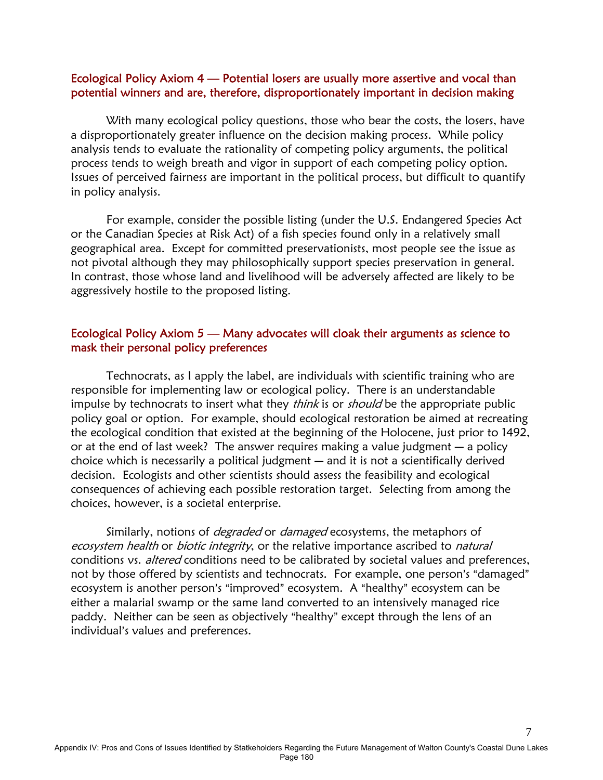#### Ecological Policy Axiom 4 — Potential losers are usually more assertive and vocal than potential winners and are, therefore, disproportionately important in decision making

With many ecological policy questions, those who bear the costs, the losers, have a disproportionately greater influence on the decision making process. While policy analysis tends to evaluate the rationality of competing policy arguments, the political process tends to weigh breath and vigor in support of each competing policy option. Issues of perceived fairness are important in the political process, but difficult to quantify in policy analysis.

 For example, consider the possible listing (under the U.S. Endangered Species Act or the Canadian Species at Risk Act) of a fish species found only in a relatively small geographical area. Except for committed preservationists, most people see the issue as not pivotal although they may philosophically support species preservation in general. In contrast, those whose land and livelihood will be adversely affected are likely to be aggressively hostile to the proposed listing.

#### Ecological Policy Axiom 5 — Many advocates will cloak their arguments as science to mask their personal policy preferences

 Technocrats, as I apply the label, are individuals with scientific training who are responsible for implementing law or ecological policy. There is an understandable impulse by technocrats to insert what they *think* is or *should* be the appropriate public policy goal or option. For example, should ecological restoration be aimed at recreating the ecological condition that existed at the beginning of the Holocene, just prior to 1492, or at the end of last week? The answer requires making a value judgment  $-$  a policy choice which is necessarily a political judgment  $-$  and it is not a scientifically derived decision. Ecologists and other scientists should assess the feasibility and ecological consequences of achieving each possible restoration target. Selecting from among the choices, however, is a societal enterprise.

Similarly, notions of *degraded* or *damaged* ecosystems, the metaphors of ecosystem health or biotic integrity, or the relative importance ascribed to natural conditions vs. altered conditions need to be calibrated by societal values and preferences, not by those offered by scientists and technocrats. For example, one person's "damaged" ecosystem is another person's "improved" ecosystem. A "healthy" ecosystem can be either a malarial swamp or the same land converted to an intensively managed rice paddy. Neither can be seen as objectively "healthy" except through the lens of an individual's values and preferences.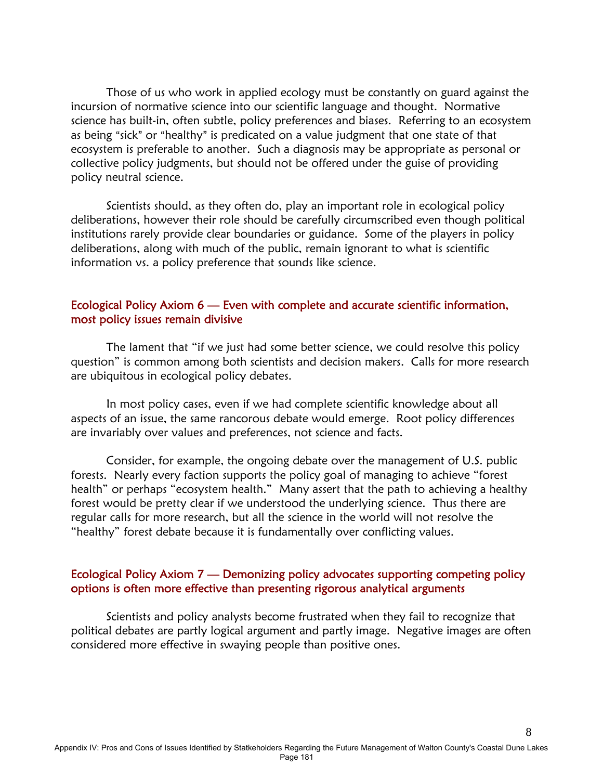Those of us who work in applied ecology must be constantly on guard against the incursion of normative science into our scientific language and thought. Normative science has built-in, often subtle, policy preferences and biases. Referring to an ecosystem as being "sick" or "healthy" is predicated on a value judgment that one state of that ecosystem is preferable to another. Such a diagnosis may be appropriate as personal or collective policy judgments, but should not be offered under the guise of providing policy neutral science.

 Scientists should, as they often do, play an important role in ecological policy deliberations, however their role should be carefully circumscribed even though political institutions rarely provide clear boundaries or guidance. Some of the players in policy deliberations, along with much of the public, remain ignorant to what is scientific information vs. a policy preference that sounds like science.

#### Ecological Policy Axiom 6 — Even with complete and accurate scientific information, most policy issues remain divisive

 The lament that "if we just had some better science, we could resolve this policy question" is common among both scientists and decision makers. Calls for more research are ubiquitous in ecological policy debates.

 In most policy cases, even if we had complete scientific knowledge about all aspects of an issue, the same rancorous debate would emerge. Root policy differences are invariably over values and preferences, not science and facts.

 Consider, for example, the ongoing debate over the management of U.S. public forests. Nearly every faction supports the policy goal of managing to achieve "forest health" or perhaps "ecosystem health." Many assert that the path to achieving a healthy forest would be pretty clear if we understood the underlying science. Thus there are regular calls for more research, but all the science in the world will not resolve the "healthy" forest debate because it is fundamentally over conflicting values.

#### Ecological Policy Axiom 7 — Demonizing policy advocates supporting competing policy options is often more effective than presenting rigorous analytical arguments

 Scientists and policy analysts become frustrated when they fail to recognize that political debates are partly logical argument and partly image. Negative images are often considered more effective in swaying people than positive ones.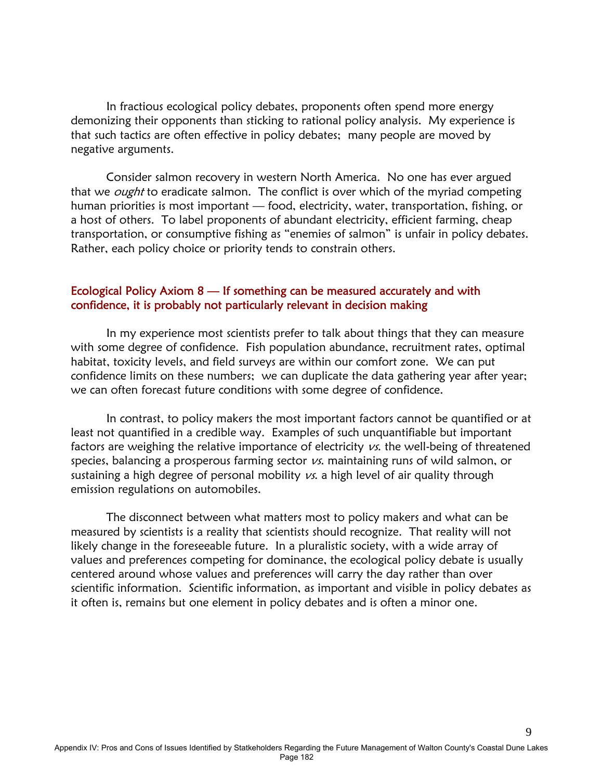In fractious ecological policy debates, proponents often spend more energy demonizing their opponents than sticking to rational policy analysis. My experience is that such tactics are often effective in policy debates; many people are moved by negative arguments.

 Consider salmon recovery in western North America. No one has ever argued that we *ought* to eradicate salmon. The conflict is over which of the myriad competing human priorities is most important — food, electricity, water, transportation, fishing, or a host of others. To label proponents of abundant electricity, efficient farming, cheap transportation, or consumptive fishing as "enemies of salmon" is unfair in policy debates. Rather, each policy choice or priority tends to constrain others.

#### Ecological Policy Axiom 8 — If something can be measured accurately and with confidence, it is probably not particularly relevant in decision making

 In my experience most scientists prefer to talk about things that they can measure with some degree of confidence. Fish population abundance, recruitment rates, optimal habitat, toxicity levels, and field surveys are within our comfort zone. We can put confidence limits on these numbers; we can duplicate the data gathering year after year; we can often forecast future conditions with some degree of confidence.

 In contrast, to policy makers the most important factors cannot be quantified or at least not quantified in a credible way. Examples of such unquantifiable but important factors are weighing the relative importance of electricity  $\nu s$ . the well-being of threatened species, balancing a prosperous farming sector  $\nu s$ . maintaining runs of wild salmon, or sustaining a high degree of personal mobility  $\nu s$ . a high level of air quality through emission regulations on automobiles.

 The disconnect between what matters most to policy makers and what can be measured by scientists is a reality that scientists should recognize. That reality will not likely change in the foreseeable future. In a pluralistic society, with a wide array of values and preferences competing for dominance, the ecological policy debate is usually centered around whose values and preferences will carry the day rather than over scientific information. Scientific information, as important and visible in policy debates as it often is, remains but one element in policy debates and is often a minor one.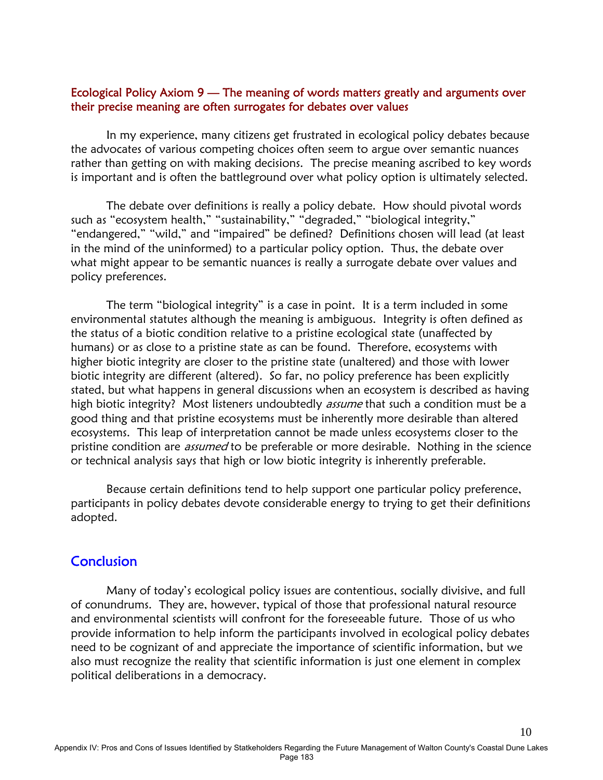#### Ecological Policy Axiom 9 — The meaning of words matters greatly and arguments over their precise meaning are often surrogates for debates over values

 In my experience, many citizens get frustrated in ecological policy debates because the advocates of various competing choices often seem to argue over semantic nuances rather than getting on with making decisions. The precise meaning ascribed to key words is important and is often the battleground over what policy option is ultimately selected.

 The debate over definitions is really a policy debate. How should pivotal words such as "ecosystem health," "sustainability," "degraded," "biological integrity," "endangered," "wild," and "impaired" be defined? Definitions chosen will lead (at least in the mind of the uninformed) to a particular policy option. Thus, the debate over what might appear to be semantic nuances is really a surrogate debate over values and policy preferences.

 The term "biological integrity" is a case in point. It is a term included in some environmental statutes although the meaning is ambiguous. Integrity is often defined as the status of a biotic condition relative to a pristine ecological state (unaffected by humans) or as close to a pristine state as can be found. Therefore, ecosystems with higher biotic integrity are closer to the pristine state (unaltered) and those with lower biotic integrity are different (altered). So far, no policy preference has been explicitly stated, but what happens in general discussions when an ecosystem is described as having high biotic integrity? Most listeners undoubtedly *assume* that such a condition must be a good thing and that pristine ecosystems must be inherently more desirable than altered ecosystems. This leap of interpretation cannot be made unless ecosystems closer to the pristine condition are *assumed* to be preferable or more desirable. Nothing in the science or technical analysis says that high or low biotic integrity is inherently preferable.

 Because certain definitions tend to help support one particular policy preference, participants in policy debates devote considerable energy to trying to get their definitions adopted.

#### **Conclusion**

 Many of today's ecological policy issues are contentious, socially divisive, and full of conundrums. They are, however, typical of those that professional natural resource and environmental scientists will confront for the foreseeable future. Those of us who provide information to help inform the participants involved in ecological policy debates need to be cognizant of and appreciate the importance of scientific information, but we also must recognize the reality that scientific information is just one element in complex political deliberations in a democracy.

10